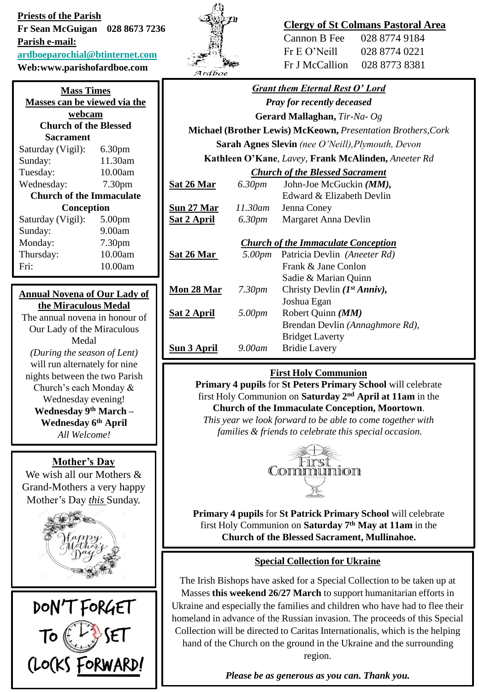**Priests of the Parish Fr Sean McGuigan 028 8673 7236 Parish e-mail: [ardboeparochial@btinternet.com](mailto:ardboeparochial@btinternet.com) Web:www.parishofardboe.com**

| <b>Mass Times</b>               |                    |  |  |
|---------------------------------|--------------------|--|--|
| Masses can be viewed via the    |                    |  |  |
| webcam                          |                    |  |  |
| <b>Church of the Blessed</b>    |                    |  |  |
| Sacrament                       |                    |  |  |
| Saturday (Vigil):               | 6.30 <sub>pm</sub> |  |  |
| Sunday:                         | 11.30am            |  |  |
| Tuesday:                        | 10.00am            |  |  |
| Wednesday:                      | 7.30 <sub>pm</sub> |  |  |
| <b>Church of the Immaculate</b> |                    |  |  |
| Conception                      |                    |  |  |
| Saturday (Vigil):               | 5.00 <sub>pm</sub> |  |  |
| Sunday:                         | 9.00am             |  |  |
| Monday:                         | 7.30 <sub>pm</sub> |  |  |
| Thursday:                       | 10.00am            |  |  |
| Fri:                            | 10.00am            |  |  |

### **Annual Novena of Our Lady of the Miraculous Medal**

The annual novena in honour of Our Lady of the Miraculous Medal *(During the season of Lent)* will run alternately for nine nights between the two Parish Church's each Monday & Wednesday evening! **Wednesday 9th March – Wednesday 6th April** *All Welcome!*

## **Mother's Day**

We wish all our Mothers & Grand-Mothers a very happy Mother's Day *this* Sunday.







# **Clergy of St Colmans Pastoral Area**

Cannon B Fee 028 8774 9184 Fr E O'Neill 028 8774 0221 Fr J McCallion 028 8773 8381

# *Grant them Eternal Rest O' Lord*

*Pray for recently deceased*

**Gerard Mallaghan,** *Tir-Na- Og*

**Michael (Brother Lewis) McKeown,** *Presentation Brothers,Cork* **Sarah Agnes Slevin** *(nee O'Neill),Plymouth, Devon*

**Kathleen O'Kane***, Lavey,* **Frank McAlinden,** *Aneeter Rd*

#### *Church of the Blessed Sacrament*

| Sat 26 Mar  | 6.30 <i>pm</i> | John-Joe McGuckin $(MM)$ , |
|-------------|----------------|----------------------------|
|             |                | Edward & Elizabeth Devlin  |
| Sun 27 Mar  | 11.30am        | Jenna Coney                |
| Sat 2 April | 6.30 <i>pm</i> | Margaret Anna Devlin       |

*Church of the Immaculate Conception*

| Sat 26 Mar          | 5.00pm             | Patricia Devlin (Aneeter Rd)      |
|---------------------|--------------------|-----------------------------------|
|                     |                    | Frank & Jane Conlon               |
|                     |                    | Sadie & Marian Quinn              |
| Mon 28 Mar          | 7.30 <sub>pm</sub> | Christy Devlin $(I^{st} Anniv)$ , |
|                     |                    | Joshua Egan                       |
| Sat 2 April         | 5.00pm             | Robert Quinn ( <i>MM</i> )        |
|                     |                    | Brendan Devlin (Annaghmore Rd),   |
|                     |                    | <b>Bridget Laverty</b>            |
| Su <u>n 3 April</u> | 9.00am             | <b>Bridie Lavery</b>              |
|                     |                    |                                   |

# **First Holy Communion**

**Primary 4 pupils** for **St Peters Primary School** will celebrate first Holy Communion on **Saturday 2nd April at 11am** in the **Church of the Immaculate Conception, Moortown**.

*This year we look forward to be able to come together with families & friends to celebrate this special occasion.*



**Primary 4 pupils** for **St Patrick Primary School** will celebrate first Holy Communion on **Saturday 7th May at 11am** in the **Church of the Blessed Sacrament, Mullinahoe.**

## **Special Collection for Ukraine**

The Irish Bishops have asked for a Special Collection to be taken up at Masses **this weekend 26/27 March** to support humanitarian efforts in Ukraine and especially the families and children who have had to flee their homeland in advance of the Russian invasion. The proceeds of this Special Collection will be directed to Caritas Internationalis, which is the helping hand of the Church on the ground in the Ukraine and the surrounding region.

*Please be as generous as you can. Thank you.*